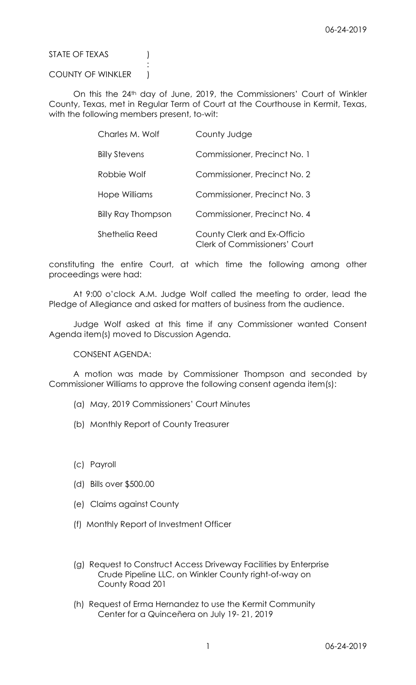STATE OF TEXAS (1)

## COUNTY OF WINKLER )

:

On this the 24th day of June, 2019, the Commissioners' Court of Winkler County, Texas, met in Regular Term of Court at the Courthouse in Kermit, Texas, with the following members present, to-wit:

| Charles M. Wolf      | County Judge                                                        |
|----------------------|---------------------------------------------------------------------|
| <b>Billy Stevens</b> | Commissioner, Precinct No. 1                                        |
| Robbie Wolf          | Commissioner, Precinct No. 2                                        |
| Hope Williams        | Commissioner, Precinct No. 3                                        |
| Billy Ray Thompson   | Commissioner, Precinct No. 4                                        |
| Shethelia Reed       | County Clerk and Ex-Officio<br><b>Clerk of Commissioners' Court</b> |

constituting the entire Court, at which time the following among other proceedings were had:

At 9:00 o'clock A.M. Judge Wolf called the meeting to order, lead the Pledge of Allegiance and asked for matters of business from the audience.

Judge Wolf asked at this time if any Commissioner wanted Consent Agenda item(s) moved to Discussion Agenda.

CONSENT AGENDA:

A motion was made by Commissioner Thompson and seconded by Commissioner Williams to approve the following consent agenda item(s):

- (a) May, 2019 Commissioners' Court Minutes
- (b) Monthly Report of County Treasurer
- (c) Payroll
- (d) Bills over \$500.00
- (e) Claims against County
- (f) Monthly Report of Investment Officer
- (g) Request to Construct Access Driveway Facilities by Enterprise Crude Pipeline LLC, on Winkler County right-of-way on County Road 201
- (h) Request of Erma Hernandez to use the Kermit Community Center for a Quinceñera on July 19- 21, 2019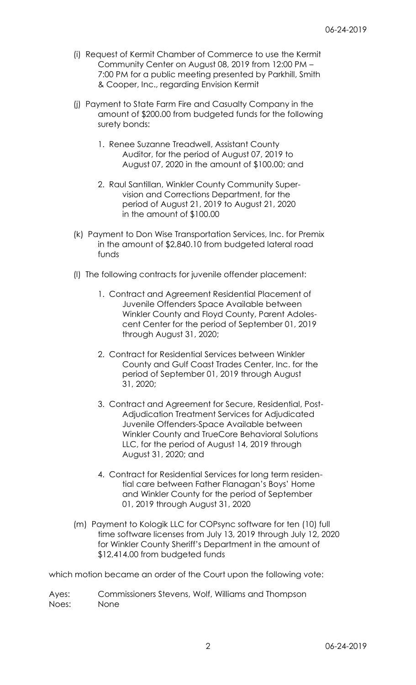- (i) Request of Kermit Chamber of Commerce to use the Kermit Community Center on August 08, 2019 from 12:00 PM – 7:00 PM for a public meeting presented by Parkhill, Smith & Cooper, Inc., regarding Envision Kermit
- (j) Payment to State Farm Fire and Casualty Company in the amount of \$200.00 from budgeted funds for the following surety bonds:
	- 1. Renee Suzanne Treadwell, Assistant County Auditor, for the period of August 07, 2019 to August 07, 2020 in the amount of \$100.00; and
	- 2. Raul Santillan, Winkler County Community Supervision and Corrections Department, for the period of August 21, 2019 to August 21, 2020 in the amount of \$100.00
- (k) Payment to Don Wise Transportation Services, Inc. for Premix in the amount of \$2,840.10 from budgeted lateral road funds
- (l) The following contracts for juvenile offender placement:
	- 1. Contract and Agreement Residential Placement of Juvenile Offenders Space Available between Winkler County and Floyd County, Parent Adolescent Center for the period of September 01, 2019 through August 31, 2020;
	- 2. Contract for Residential Services between Winkler County and Gulf Coast Trades Center, Inc. for the period of September 01, 2019 through August 31, 2020;
	- 3. Contract and Agreement for Secure, Residential, Post-Adjudication Treatment Services for Adjudicated Juvenile Offenders-Space Available between Winkler County and TrueCore Behavioral Solutions LLC, for the period of August 14, 2019 through August 31, 2020; and
	- 4. Contract for Residential Services for long term residential care between Father Flanagan's Boys' Home and Winkler County for the period of September 01, 2019 through August 31, 2020
- (m) Payment to Kologik LLC for COPsync software for ten (10) full time software licenses from July 13, 2019 through July 12, 2020 for Winkler County Sheriff's Department in the amount of \$12,414.00 from budgeted funds

which motion became an order of the Court upon the following vote:

Ayes: Commissioners Stevens, Wolf, Williams and Thompson Noes: None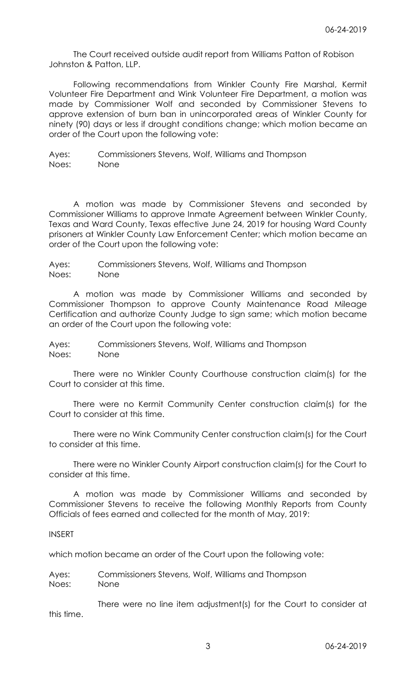The Court received outside audit report from Williams Patton of Robison Johnston & Patton, LLP.

Following recommendations from Winkler County Fire Marshal, Kermit Volunteer Fire Department and Wink Volunteer Fire Department, a motion was made by Commissioner Wolf and seconded by Commissioner Stevens to approve extension of burn ban in unincorporated areas of Winkler County for ninety (90) days or less if drought conditions change; which motion became an order of the Court upon the following vote:

Ayes: Commissioners Stevens, Wolf, Williams and Thompson Noes: None

A motion was made by Commissioner Stevens and seconded by Commissioner Williams to approve Inmate Agreement between Winkler County, Texas and Ward County, Texas effective June 24, 2019 for housing Ward County prisoners at Winkler County Law Enforcement Center; which motion became an order of the Court upon the following vote:

Ayes: Commissioners Stevens, Wolf, Williams and Thompson Noes: None

A motion was made by Commissioner Williams and seconded by Commissioner Thompson to approve County Maintenance Road Mileage Certification and authorize County Judge to sign same; which motion became an order of the Court upon the following vote:

Ayes: Commissioners Stevens, Wolf, Williams and Thompson Noes: None

There were no Winkler County Courthouse construction claim(s) for the Court to consider at this time.

There were no Kermit Community Center construction claim(s) for the Court to consider at this time.

There were no Wink Community Center construction claim(s) for the Court to consider at this time.

There were no Winkler County Airport construction claim(s) for the Court to consider at this time.

A motion was made by Commissioner Williams and seconded by Commissioner Stevens to receive the following Monthly Reports from County Officials of fees earned and collected for the month of May, 2019:

## INSERT

which motion became an order of the Court upon the following vote:

Ayes: Commissioners Stevens, Wolf, Williams and Thompson Noes: None

There were no line item adjustment(s) for the Court to consider at this time.